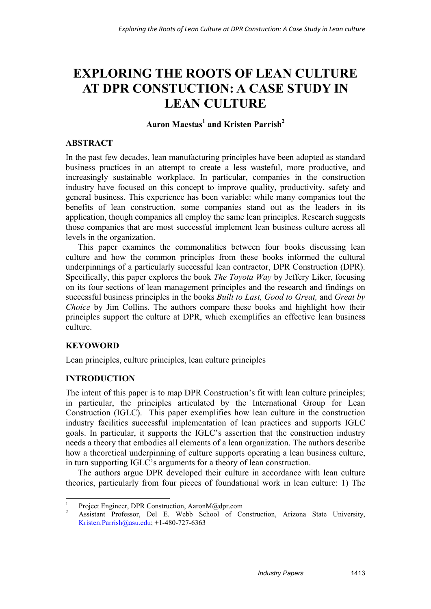# **EXPLORING THE ROOTS OF LEAN CULTURE AT DPR CONSTUCTION: A CASE STUDY IN LEAN CULTURE**

# $\rm{Aaron~Maestas}^1$  and Kristen Parrish<sup>2</sup>

### **ABSTRACT**

In the past few decades, lean manufacturing principles have been adopted as standard business practices in an attempt to create a less wasteful, more productive, and increasingly sustainable workplace. In particular, companies in the construction industry have focused on this concept to improve quality, productivity, safety and general business. This experience has been variable: while many companies tout the benefits of lean construction, some companies stand out as the leaders in its application, though companies all employ the same lean principles. Research suggests those companies that are most successful implement lean business culture across all levels in the organization.

This paper examines the commonalities between four books discussing lean culture and how the common principles from these books informed the cultural underpinnings of a particularly successful lean contractor, DPR Construction (DPR). Specifically, this paper explores the book *The Toyota Way* by Jeffery Liker, focusing on its four sections of lean management principles and the research and findings on successful business principles in the books *Built to Last, Good to Great,* and *Great by Choice* by Jim Collins. The authors compare these books and highlight how their principles support the culture at DPR, which exemplifies an effective lean business culture.

## **KEYOWORD**

1

Lean principles, culture principles, lean culture principles

## **INTRODUCTION**

The intent of this paper is to map DPR Construction's fit with lean culture principles; in particular, the principles articulated by the International Group for Lean Construction (IGLC). This paper exemplifies how lean culture in the construction industry facilities successful implementation of lean practices and supports IGLC goals. In particular, it supports the IGLC's assertion that the construction industry needs a theory that embodies all elements of a lean organization. The authors describe how a theoretical underpinning of culture supports operating a lean business culture, in turn supporting IGLC's arguments for a theory of lean construction.

The authors argue DPR developed their culture in accordance with lean culture theories, particularly from four pieces of foundational work in lean culture: 1) The

<sup>1</sup> Project Engineer, DPR Construction, AaronM@dpr.com

<sup>2</sup> Assistant Professor, Del E. Webb School of Construction, Arizona State University, Kristen.Parrish@asu.edu; +1-480-727-6363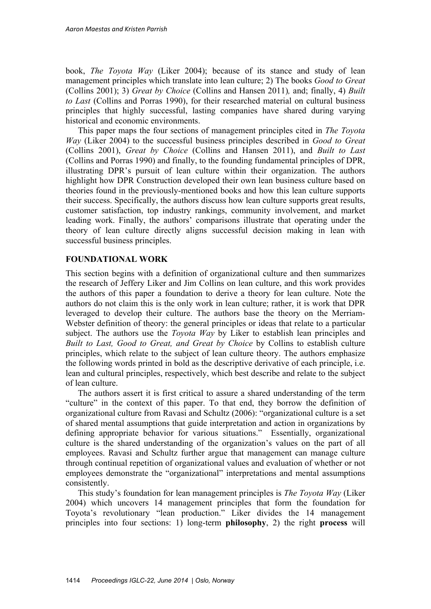book, *The Toyota Way* (Liker 2004); because of its stance and study of lean management principles which translate into lean culture; 2) The books *Good to Great* (Collins 2001); 3) *Great by Choice* (Collins and Hansen 2011)*,* and; finally, 4) *Built to Last* (Collins and Porras 1990), for their researched material on cultural business principles that highly successful, lasting companies have shared during varying historical and economic environments.

This paper maps the four sections of management principles cited in *The Toyota Way* (Liker 2004) to the successful business principles described in *Good to Great*  (Collins 2001), *Great by Choice* (Collins and Hansen 2011), and *Built to Last*  (Collins and Porras 1990) and finally, to the founding fundamental principles of DPR, illustrating DPR's pursuit of lean culture within their organization. The authors highlight how DPR Construction developed their own lean business culture based on theories found in the previously-mentioned books and how this lean culture supports their success. Specifically, the authors discuss how lean culture supports great results, customer satisfaction, top industry rankings, community involvement, and market leading work. Finally, the authors' comparisons illustrate that operating under the theory of lean culture directly aligns successful decision making in lean with successful business principles.

#### **FOUNDATIONAL WORK**

This section begins with a definition of organizational culture and then summarizes the research of Jeffery Liker and Jim Collins on lean culture, and this work provides the authors of this paper a foundation to derive a theory for lean culture. Note the authors do not claim this is the only work in lean culture; rather, it is work that DPR leveraged to develop their culture. The authors base the theory on the Merriam-Webster definition of theory: the general principles or ideas that relate to a particular subject. The authors use the *Toyota Way* by Liker to establish lean principles and *Built to Last, Good to Great, and Great by Choice* by Collins to establish culture principles, which relate to the subject of lean culture theory. The authors emphasize the following words printed in bold as the descriptive derivative of each principle, i.e. lean and cultural principles, respectively, which best describe and relate to the subject of lean culture.

The authors assert it is first critical to assure a shared understanding of the term "culture" in the context of this paper. To that end, they borrow the definition of organizational culture from Ravasi and Schultz (2006): "organizational culture is a set of shared mental assumptions that guide interpretation and action in organizations by defining appropriate behavior for various situations." Essentially, organizational culture is the shared understanding of the organization's values on the part of all employees. Ravasi and Schultz further argue that management can manage culture through continual repetition of organizational values and evaluation of whether or not employees demonstrate the "organizational" interpretations and mental assumptions consistently.

This study's foundation for lean management principles is *The Toyota Way* (Liker 2004) which uncovers 14 management principles that form the foundation for Toyota's revolutionary "lean production." Liker divides the 14 management principles into four sections: 1) long-term **philosophy**, 2) the right **process** will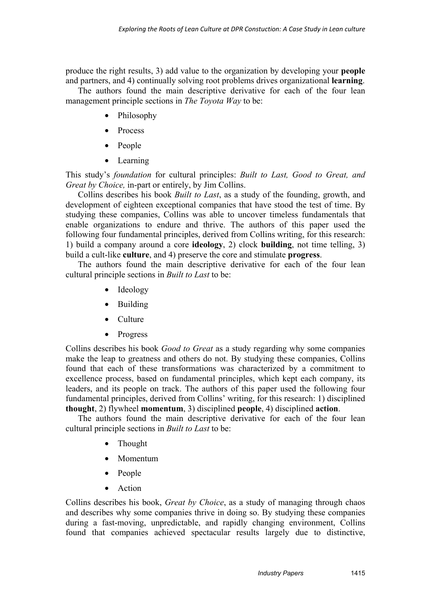produce the right results, 3) add value to the organization by developing your **people** and partners, and 4) continually solving root problems drives organizational **learning**.

The authors found the main descriptive derivative for each of the four lean management principle sections in *The Toyota Way* to be:

- Philosophy
- Process
- People
- Learning

This study's *foundation* for cultural principles: *Built to Last, Good to Great, and Great by Choice,* in-part or entirely, by Jim Collins.

Collins describes his book *Built to Last*, as a study of the founding, growth, and development of eighteen exceptional companies that have stood the test of time. By studying these companies, Collins was able to uncover timeless fundamentals that enable organizations to endure and thrive. The authors of this paper used the following four fundamental principles, derived from Collins writing, for this research: 1) build a company around a core **ideology**, 2) clock **building**, not time telling, 3) build a cult-like **culture**, and 4) preserve the core and stimulate **progress**.

The authors found the main descriptive derivative for each of the four lean cultural principle sections in *Built to Last* to be:

- Ideology
- Building
- Culture
- Progress

Collins describes his book *Good to Great* as a study regarding why some companies make the leap to greatness and others do not. By studying these companies, Collins found that each of these transformations was characterized by a commitment to excellence process, based on fundamental principles, which kept each company, its leaders, and its people on track. The authors of this paper used the following four fundamental principles, derived from Collins' writing, for this research: 1) disciplined **thought**, 2) flywheel **momentum**, 3) disciplined **people**, 4) disciplined **action**.

The authors found the main descriptive derivative for each of the four lean cultural principle sections in *Built to Last* to be:

- Thought
- Momentum
- People
- **Action**

Collins describes his book, *Great by Choice*, as a study of managing through chaos and describes why some companies thrive in doing so. By studying these companies during a fast-moving, unpredictable, and rapidly changing environment, Collins found that companies achieved spectacular results largely due to distinctive,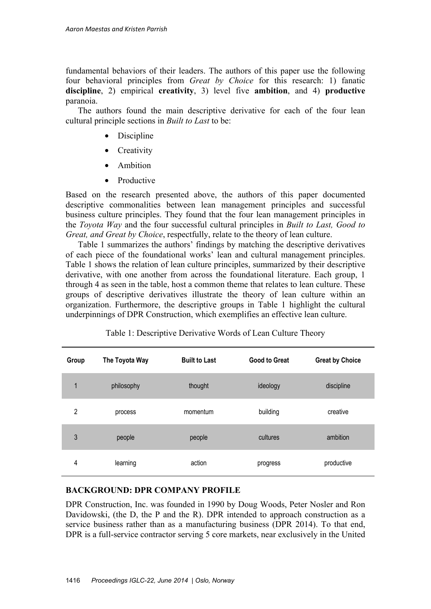fundamental behaviors of their leaders. The authors of this paper use the following four behavioral principles from *Great by Choice* for this research: 1) fanatic **discipline**, 2) empirical **creativity**, 3) level five **ambition**, and 4) **productive**  paranoia.

The authors found the main descriptive derivative for each of the four lean cultural principle sections in *Built to Last* to be:

- Discipline
- Creativity
- Ambition
- Productive

Based on the research presented above, the authors of this paper documented descriptive commonalities between lean management principles and successful business culture principles. They found that the four lean management principles in the *Toyota Way* and the four successful cultural principles in *Built to Last, Good to Great, and Great by Choice*, respectfully, relate to the theory of lean culture.

Table 1 summarizes the authors' findings by matching the descriptive derivatives of each piece of the foundational works' lean and cultural management principles. Table 1 shows the relation of lean culture principles, summarized by their descriptive derivative, with one another from across the foundational literature. Each group, 1 through 4 as seen in the table, host a common theme that relates to lean culture. These groups of descriptive derivatives illustrate the theory of lean culture within an organization. Furthermore, the descriptive groups in Table 1 highlight the cultural underpinnings of DPR Construction, which exemplifies an effective lean culture.

| Group        | The Toyota Way | <b>Built to Last</b> | <b>Good to Great</b> | <b>Great by Choice</b> |
|--------------|----------------|----------------------|----------------------|------------------------|
| $\mathbf{1}$ | philosophy     | thought              | ideology             | discipline             |
| 2            | process        | momentum             | building             | creative               |
| 3            | people         | people               | cultures             | ambition               |
| 4            | learning       | action               | progress             | productive             |

| Table 1: Descriptive Derivative Words of Lean Culture Theory |  |  |
|--------------------------------------------------------------|--|--|
|--------------------------------------------------------------|--|--|

## **BACKGROUND: DPR COMPANY PROFILE**

DPR Construction, Inc. was founded in 1990 by Doug Woods, Peter Nosler and Ron Davidowski, (the D, the P and the R). DPR intended to approach construction as a service business rather than as a manufacturing business (DPR 2014). To that end, DPR is a full-service contractor serving 5 core markets, near exclusively in the United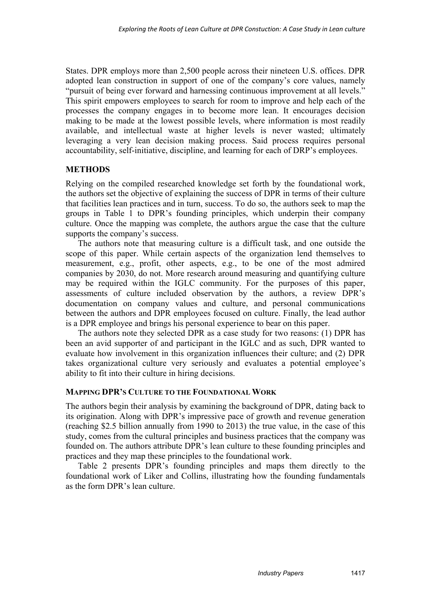States. DPR employs more than 2,500 people across their nineteen U.S. offices. DPR adopted lean construction in support of one of the company's core values, namely "pursuit of being ever forward and harnessing continuous improvement at all levels." This spirit empowers employees to search for room to improve and help each of the processes the company engages in to become more lean. It encourages decision making to be made at the lowest possible levels, where information is most readily available, and intellectual waste at higher levels is never wasted; ultimately leveraging a very lean decision making process. Said process requires personal accountability, self-initiative, discipline, and learning for each of DRP's employees.

## **METHODS**

Relying on the compiled researched knowledge set forth by the foundational work, the authors set the objective of explaining the success of DPR in terms of their culture that facilities lean practices and in turn, success. To do so, the authors seek to map the groups in Table 1 to DPR's founding principles, which underpin their company culture. Once the mapping was complete, the authors argue the case that the culture supports the company's success.

The authors note that measuring culture is a difficult task, and one outside the scope of this paper. While certain aspects of the organization lend themselves to measurement, e.g., profit, other aspects, e.g., to be one of the most admired companies by 2030, do not. More research around measuring and quantifying culture may be required within the IGLC community. For the purposes of this paper, assessments of culture included observation by the authors, a review DPR's documentation on company values and culture, and personal communications between the authors and DPR employees focused on culture. Finally, the lead author is a DPR employee and brings his personal experience to bear on this paper.

The authors note they selected DPR as a case study for two reasons: (1) DPR has been an avid supporter of and participant in the IGLC and as such, DPR wanted to evaluate how involvement in this organization influences their culture; and (2) DPR takes organizational culture very seriously and evaluates a potential employee's ability to fit into their culture in hiring decisions.

#### **MAPPING DPR'S CULTURE TO THE FOUNDATIONAL WORK**

The authors begin their analysis by examining the background of DPR, dating back to its origination. Along with DPR's impressive pace of growth and revenue generation (reaching \$2.5 billion annually from 1990 to 2013) the true value, in the case of this study, comes from the cultural principles and business practices that the company was founded on. The authors attribute DPR's lean culture to these founding principles and practices and they map these principles to the foundational work.

Table 2 presents DPR's founding principles and maps them directly to the foundational work of Liker and Collins, illustrating how the founding fundamentals as the form DPR's lean culture.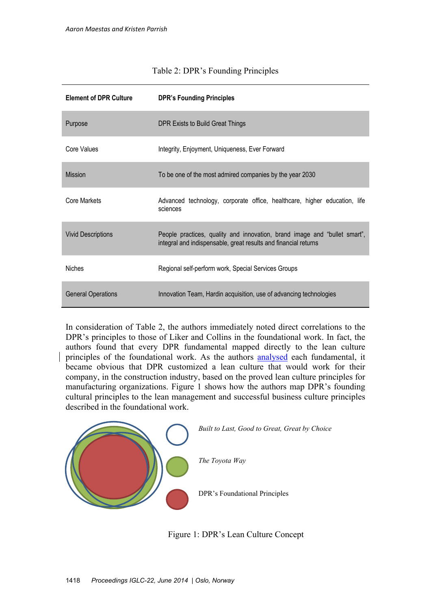| <b>Element of DPR Culture</b> | <b>DPR's Founding Principles</b>                                                                                                             |  |  |
|-------------------------------|----------------------------------------------------------------------------------------------------------------------------------------------|--|--|
| Purpose                       | DPR Exists to Build Great Things                                                                                                             |  |  |
| Core Values                   | Integrity, Enjoyment, Uniqueness, Ever Forward                                                                                               |  |  |
| <b>Mission</b>                | To be one of the most admired companies by the year 2030                                                                                     |  |  |
| Core Markets                  | Advanced technology, corporate office, healthcare, higher education, life<br>sciences                                                        |  |  |
| <b>Vivid Descriptions</b>     | People practices, quality and innovation, brand image and "bullet smart",<br>integral and indispensable, great results and financial returns |  |  |
| <b>Niches</b>                 | Regional self-perform work, Special Services Groups                                                                                          |  |  |
| <b>General Operations</b>     | Innovation Team, Hardin acquisition, use of advancing technologies                                                                           |  |  |

### Table 2: DPR's Founding Principles

In consideration of Table 2, the authors immediately noted direct correlations to the DPR's principles to those of Liker and Collins in the foundational work. In fact, the authors found that every DPR fundamental mapped directly to the lean culture principles of the foundational work. As the authors analysed each fundamental, it became obvious that DPR customized a lean culture that would work for their company, in the construction industry, based on the proved lean culture principles for manufacturing organizations. Figure 1 shows how the authors map DPR's founding cultural principles to the lean management and successful business culture principles described in the foundational work.



Figure 1: DPR's Lean Culture Concept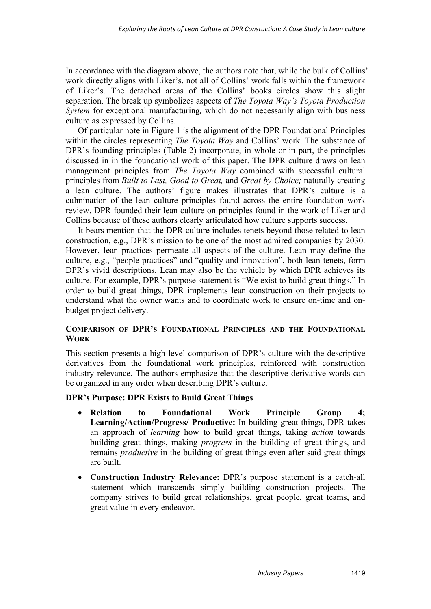In accordance with the diagram above, the authors note that, while the bulk of Collins' work directly aligns with Liker's, not all of Collins' work falls within the framework of Liker's. The detached areas of the Collins' books circles show this slight separation. The break up symbolizes aspects of *The Toyota Way's Toyota Production System* for exceptional manufacturing*,* which do not necessarily align with business culture as expressed by Collins.

Of particular note in Figure 1 is the alignment of the DPR Foundational Principles within the circles representing *The Toyota Way* and Collins' work. The substance of DPR's founding principles (Table 2) incorporate, in whole or in part, the principles discussed in in the foundational work of this paper. The DPR culture draws on lean management principles from *The Toyota Way* combined with successful cultural principles from *Built to Last, Good to Great,* and *Great by Choice;* naturally creating a lean culture. The authors' figure makes illustrates that DPR's culture is a culmination of the lean culture principles found across the entire foundation work review. DPR founded their lean culture on principles found in the work of Liker and Collins because of these authors clearly articulated how culture supports success.

It bears mention that the DPR culture includes tenets beyond those related to lean construction, e.g., DPR's mission to be one of the most admired companies by 2030. However, lean practices permeate all aspects of the culture. Lean may define the culture, e.g., "people practices" and "quality and innovation", both lean tenets, form DPR's vivid descriptions. Lean may also be the vehicle by which DPR achieves its culture. For example, DPR's purpose statement is "We exist to build great things." In order to build great things, DPR implements lean construction on their projects to understand what the owner wants and to coordinate work to ensure on-time and onbudget project delivery.

### **COMPARISON OF DPR'S FOUNDATIONAL PRINCIPLES AND THE FOUNDATIONAL WORK**

This section presents a high-level comparison of DPR's culture with the descriptive derivatives from the foundational work principles, reinforced with construction industry relevance. The authors emphasize that the descriptive derivative words can be organized in any order when describing DPR's culture.

## **DPR's Purpose: DPR Exists to Build Great Things**

- **Relation to Foundational Work Principle Group 4; Learning/Action/Progress/ Productive:** In building great things, DPR takes an approach of *learning* how to build great things, taking *action* towards building great things, making *progress* in the building of great things, and remains *productive* in the building of great things even after said great things are built.
- **Construction Industry Relevance:** DPR's purpose statement is a catch-all statement which transcends simply building construction projects. The company strives to build great relationships, great people, great teams, and great value in every endeavor.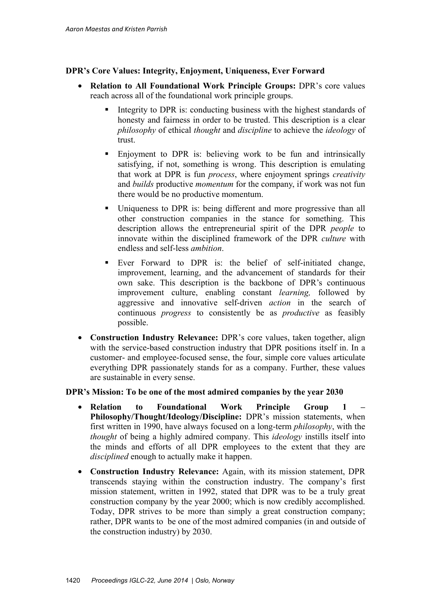### **DPR's Core Values: Integrity, Enjoyment, Uniqueness, Ever Forward**

- **Relation to All Foundational Work Principle Groups:** DPR's core values reach across all of the foundational work principle groups.
	- Integrity to DPR is: conducting business with the highest standards of honesty and fairness in order to be trusted. This description is a clear *philosophy* of ethical *thought* and *discipline* to achieve the *ideology* of trust.
	- Enjoyment to DPR is: believing work to be fun and intrinsically satisfying, if not, something is wrong. This description is emulating that work at DPR is fun *process*, where enjoyment springs *creativity*  and *builds* productive *momentum* for the company, if work was not fun there would be no productive momentum.
	- Uniqueness to DPR is: being different and more progressive than all other construction companies in the stance for something. This description allows the entrepreneurial spirit of the DPR *people* to innovate within the disciplined framework of the DPR *culture* with endless and self-less *ambition*.
	- Ever Forward to DPR is: the belief of self-initiated change, improvement, learning, and the advancement of standards for their own sake. This description is the backbone of DPR's continuous improvement culture, enabling constant *learning,* followed by aggressive and innovative self-driven *action* in the search of continuous *progress* to consistently be as *productive* as feasibly possible.
- **Construction Industry Relevance:** DPR's core values, taken together, align with the service-based construction industry that DPR positions itself in. In a customer- and employee-focused sense, the four, simple core values articulate everything DPR passionately stands for as a company. Further, these values are sustainable in every sense.

#### **DPR's Mission: To be one of the most admired companies by the year 2030**

- **Relation to Foundational Work Principle Group 1 Philosophy/Thought/Ideology/Discipline:** DPR's mission statements, when first written in 1990, have always focused on a long-term *philosophy*, with the *thought* of being a highly admired company. This *ideology* instills itself into the minds and efforts of all DPR employees to the extent that they are *disciplined* enough to actually make it happen.
- **Construction Industry Relevance:** Again, with its mission statement, DPR transcends staying within the construction industry. The company's first mission statement, written in 1992, stated that DPR was to be a truly great construction company by the year 2000; which is now credibly accomplished. Today, DPR strives to be more than simply a great construction company; rather, DPR wants to be one of the most admired companies (in and outside of the construction industry) by 2030.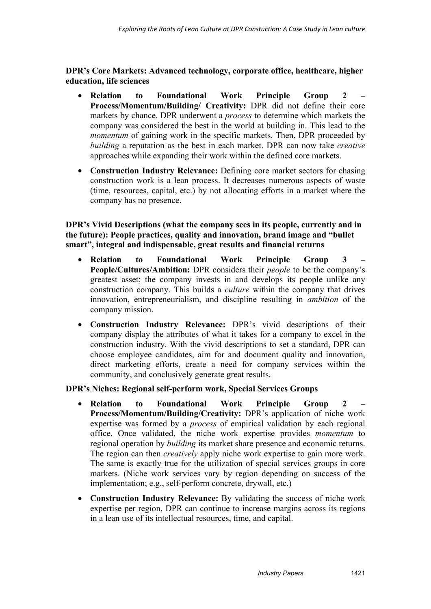**DPR's Core Markets: Advanced technology, corporate office, healthcare, higher education, life sciences** 

- **Relation to Foundational Work Principle Group 2 Process/Momentum/Building/ Creativity:** DPR did not define their core markets by chance. DPR underwent a *process* to determine which markets the company was considered the best in the world at building in. This lead to the *momentum* of gaining work in the specific markets. Then, DPR proceeded by *building* a reputation as the best in each market. DPR can now take *creative*  approaches while expanding their work within the defined core markets.
- **Construction Industry Relevance:** Defining core market sectors for chasing construction work is a lean process. It decreases numerous aspects of waste (time, resources, capital, etc.) by not allocating efforts in a market where the company has no presence.

## **DPR's Vivid Descriptions (what the company sees in its people, currently and in the future): People practices, quality and innovation, brand image and "bullet smart", integral and indispensable, great results and financial returns**

- **Relation to Foundational Work Principle Group 3 People/Cultures/Ambition:** DPR considers their *people* to be the company's greatest asset; the company invests in and develops its people unlike any construction company. This builds a *culture* within the company that drives innovation, entrepreneurialism, and discipline resulting in *ambition* of the company mission.
- **Construction Industry Relevance:** DPR's vivid descriptions of their company display the attributes of what it takes for a company to excel in the construction industry. With the vivid descriptions to set a standard, DPR can choose employee candidates, aim for and document quality and innovation, direct marketing efforts, create a need for company services within the community, and conclusively generate great results.

#### **DPR's Niches: Regional self-perform work, Special Services Groups**

- **Relation to Foundational Work Principle Group 2 Process/Momentum/Building/Creativity:** DPR's application of niche work expertise was formed by a *process* of empirical validation by each regional office. Once validated, the niche work expertise provides *momentum* to regional operation by *building* its market share presence and economic returns. The region can then *creatively* apply niche work expertise to gain more work. The same is exactly true for the utilization of special services groups in core markets. (Niche work services vary by region depending on success of the implementation; e.g., self-perform concrete, drywall, etc.)
- **Construction Industry Relevance:** By validating the success of niche work expertise per region, DPR can continue to increase margins across its regions in a lean use of its intellectual resources, time, and capital.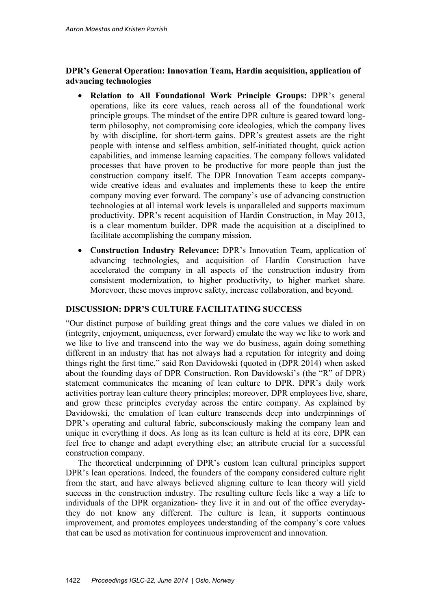## **DPR's General Operation: Innovation Team, Hardin acquisition, application of advancing technologies**

- **Relation to All Foundational Work Principle Groups:** DPR's general operations, like its core values, reach across all of the foundational work principle groups. The mindset of the entire DPR culture is geared toward longterm philosophy, not compromising core ideologies, which the company lives by with discipline, for short-term gains. DPR's greatest assets are the right people with intense and selfless ambition, self-initiated thought, quick action capabilities, and immense learning capacities. The company follows validated processes that have proven to be productive for more people than just the construction company itself. The DPR Innovation Team accepts companywide creative ideas and evaluates and implements these to keep the entire company moving ever forward. The company's use of advancing construction technologies at all internal work levels is unparalleled and supports maximum productivity. DPR's recent acquisition of Hardin Construction, in May 2013, is a clear momentum builder. DPR made the acquisition at a disciplined to facilitate accomplishing the company mission.
- **Construction Industry Relevance:** DPR's Innovation Team, application of advancing technologies, and acquisition of Hardin Construction have accelerated the company in all aspects of the construction industry from consistent modernization, to higher productivity, to higher market share. Morevoer, these moves improve safety, increase collaboration, and beyond.

#### **DISCUSSION: DPR'S CULTURE FACILITATING SUCCESS**

"Our distinct purpose of building great things and the core values we dialed in on (integrity, enjoyment, uniqueness, ever forward) emulate the way we like to work and we like to live and transcend into the way we do business, again doing something different in an industry that has not always had a reputation for integrity and doing things right the first time," said Ron Davidowski (quoted in (DPR 2014) when asked about the founding days of DPR Construction. Ron Davidowski's (the "R" of DPR) statement communicates the meaning of lean culture to DPR. DPR's daily work activities portray lean culture theory principles; moreover, DPR employees live, share, and grow these principles everyday across the entire company. As explained by Davidowski, the emulation of lean culture transcends deep into underpinnings of DPR's operating and cultural fabric, subconsciously making the company lean and unique in everything it does. As long as its lean culture is held at its core, DPR can feel free to change and adapt everything else; an attribute crucial for a successful construction company.

The theoretical underpinning of DPR's custom lean cultural principles support DPR's lean operations. Indeed, the founders of the company considered culture right from the start, and have always believed aligning culture to lean theory will yield success in the construction industry. The resulting culture feels like a way a life to individuals of the DPR organization- they live it in and out of the office everydaythey do not know any different. The culture is lean, it supports continuous improvement, and promotes employees understanding of the company's core values that can be used as motivation for continuous improvement and innovation.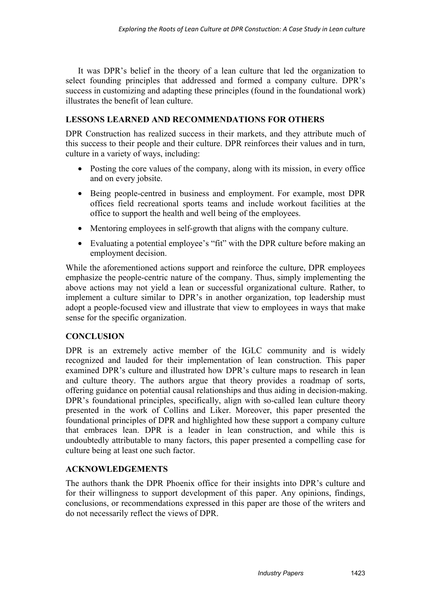It was DPR's belief in the theory of a lean culture that led the organization to select founding principles that addressed and formed a company culture. DPR's success in customizing and adapting these principles (found in the foundational work) illustrates the benefit of lean culture.

## **LESSONS LEARNED AND RECOMMENDATIONS FOR OTHERS**

DPR Construction has realized success in their markets, and they attribute much of this success to their people and their culture. DPR reinforces their values and in turn, culture in a variety of ways, including:

- Posting the core values of the company, along with its mission, in every office and on every jobsite.
- Being people-centred in business and employment. For example, most DPR offices field recreational sports teams and include workout facilities at the office to support the health and well being of the employees.
- Mentoring employees in self-growth that aligns with the company culture.
- Evaluating a potential employee's "fit" with the DPR culture before making an employment decision.

While the aforementioned actions support and reinforce the culture, DPR employees emphasize the people-centric nature of the company. Thus, simply implementing the above actions may not yield a lean or successful organizational culture. Rather, to implement a culture similar to DPR's in another organization, top leadership must adopt a people-focused view and illustrate that view to employees in ways that make sense for the specific organization.

## **CONCLUSION**

DPR is an extremely active member of the IGLC community and is widely recognized and lauded for their implementation of lean construction. This paper examined DPR's culture and illustrated how DPR's culture maps to research in lean and culture theory. The authors argue that theory provides a roadmap of sorts, offering guidance on potential causal relationships and thus aiding in decision-making. DPR's foundational principles, specifically, align with so-called lean culture theory presented in the work of Collins and Liker. Moreover, this paper presented the foundational principles of DPR and highlighted how these support a company culture that embraces lean. DPR is a leader in lean construction, and while this is undoubtedly attributable to many factors, this paper presented a compelling case for culture being at least one such factor.

## **ACKNOWLEDGEMENTS**

The authors thank the DPR Phoenix office for their insights into DPR's culture and for their willingness to support development of this paper. Any opinions, findings, conclusions, or recommendations expressed in this paper are those of the writers and do not necessarily reflect the views of DPR.